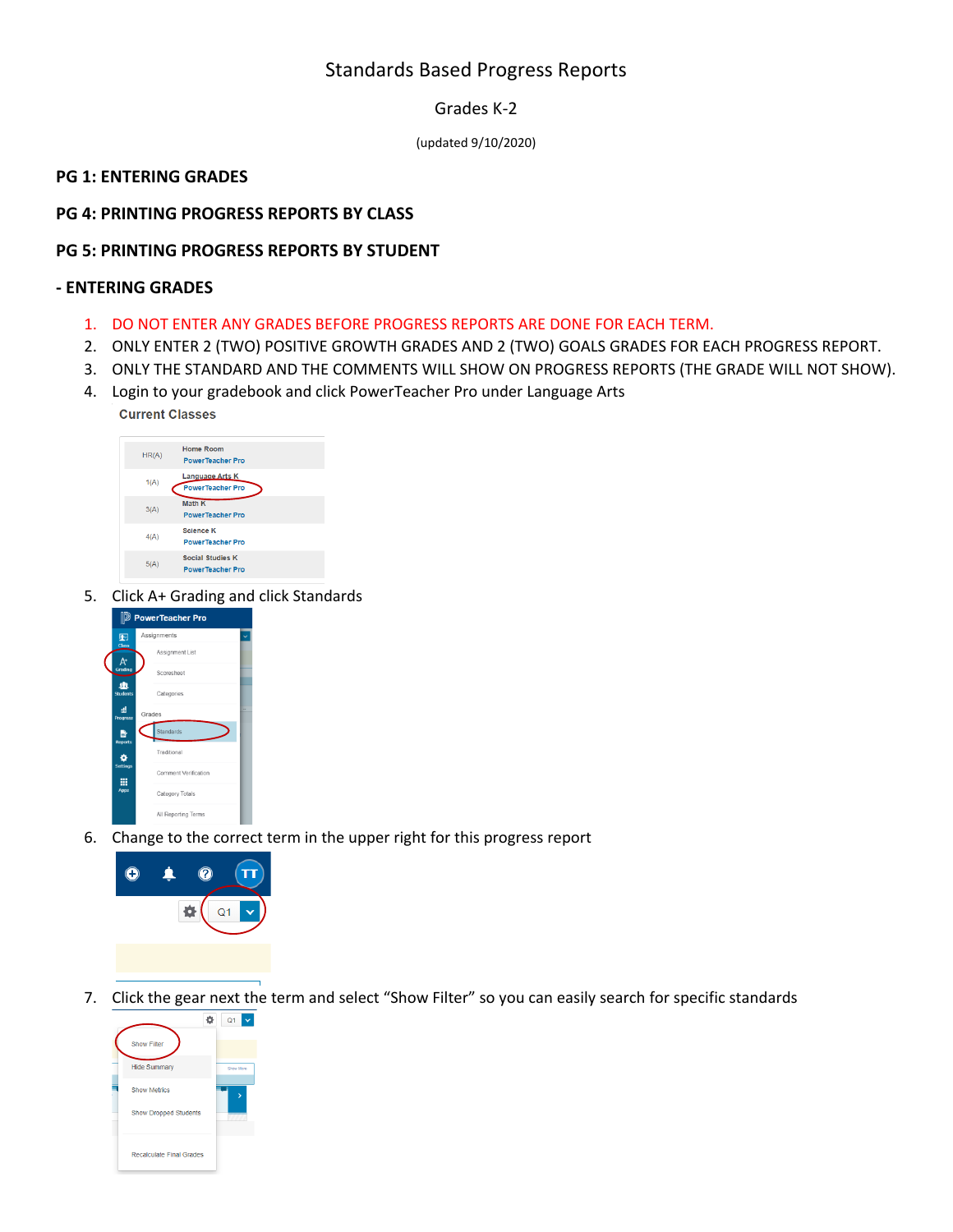# Standards Based Progress Reports

Grades K-2

(updated 9/10/2020)

## **PG 1: ENTERING GRADES**

# **PG 4: PRINTING PROGRESS REPORTS BY CLASS**

## **PG 5: PRINTING PROGRESS REPORTS BY STUDENT**

#### **- ENTERING GRADES**

- 1. DO NOT ENTER ANY GRADES BEFORE PROGRESS REPORTS ARE DONE FOR EACH TERM.
- 2. ONLY ENTER 2 (TWO) POSITIVE GROWTH GRADES AND 2 (TWO) GOALS GRADES FOR EACH PROGRESS REPORT.
- 3. ONLY THE STANDARD AND THE COMMENTS WILL SHOW ON PROGRESS REPORTS (THE GRADE WILL NOT SHOW).
- 4. Login to your gradebook and click PowerTeacher Pro under Language Arts **Current Classes**



5. Click A+ Grading and click Standards



6. Change to the correct term in the upper right for this progress report



7. Click the gear next the term and select "Show Filter" so you can easily search for specific standards

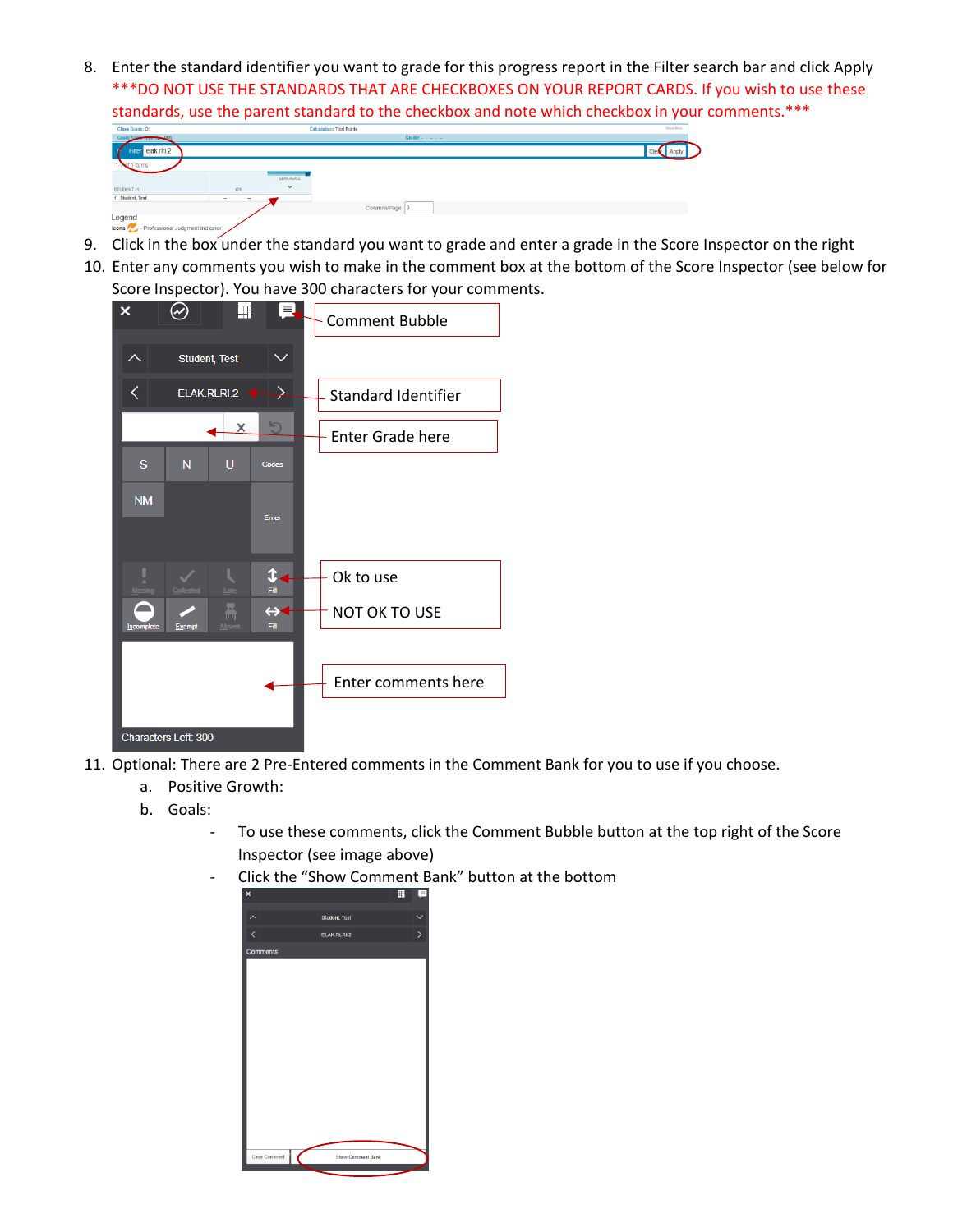8. Enter the standard identifier you want to grade for this progress report in the Filter search bar and click Apply \*\*\*DO NOT USE THE STANDARDS THAT ARE CHECKBOXES ON YOUR REPORT CARDS. If you wish to use these standards, use the parent standard to the checkbox and note which checkbox in your comments.\*\*\*

| Class Grade: Q1                                    |                              |              | Calculation: Ictal Points |  | <b>CONTRACTOR</b> |  |
|----------------------------------------------------|------------------------------|--------------|---------------------------|--|-------------------|--|
| Grade Scots Typer (C NM)                           |                              |              | Grade: $  -$              |  |                   |  |
| Filter elak.rlri.2<br>7                            |                              |              |                           |  |                   |  |
| items                                              |                              |              |                           |  |                   |  |
|                                                    |                              | ELAK RURI 2  |                           |  |                   |  |
| STUDENT (1)                                        | Q1                           | $\checkmark$ |                           |  |                   |  |
| 1. Student, Test                                   | <b>STATE</b><br><b>STATE</b> |              |                           |  |                   |  |
|                                                    |                              |              | Columns/Page 9            |  |                   |  |
| Legend                                             |                              |              |                           |  |                   |  |
| <b>Icons Co.</b> - Professional Judgment Indicator |                              |              |                           |  |                   |  |

- 9. Click in the box under the standard you want to grade and enter a grade in the Score Inspector on the right
- 10. Enter any comments you wish to make in the comment box at the bottom of the Score Inspector (see below for Score Inspector). You have 300 characters for your comments.



- 11. Optional: There are 2 Pre-Entered comments in the Comment Bank for you to use if you choose.
	- a. Positive Growth:
	- b. Goals:
		- To use these comments, click the Comment Bubble button at the top right of the Score Inspector (see image above)
		- Click the "Show Comment Bank" button at the bottom

| $\overline{\mathbf{x}}$<br>Comments | Student, Test<br><b>ELAK RLRI2</b> | ⋋ |
|-------------------------------------|------------------------------------|---|
|                                     |                                    |   |
|                                     |                                    |   |
|                                     |                                    |   |
|                                     |                                    |   |
|                                     |                                    |   |
|                                     |                                    |   |
|                                     |                                    |   |
|                                     |                                    |   |
|                                     |                                    |   |
|                                     |                                    |   |
|                                     |                                    |   |
|                                     |                                    |   |
|                                     |                                    |   |
|                                     |                                    |   |
|                                     |                                    |   |
|                                     |                                    |   |
|                                     |                                    |   |
|                                     |                                    |   |
| Clear Comment                       | Show Comment Bank                  |   |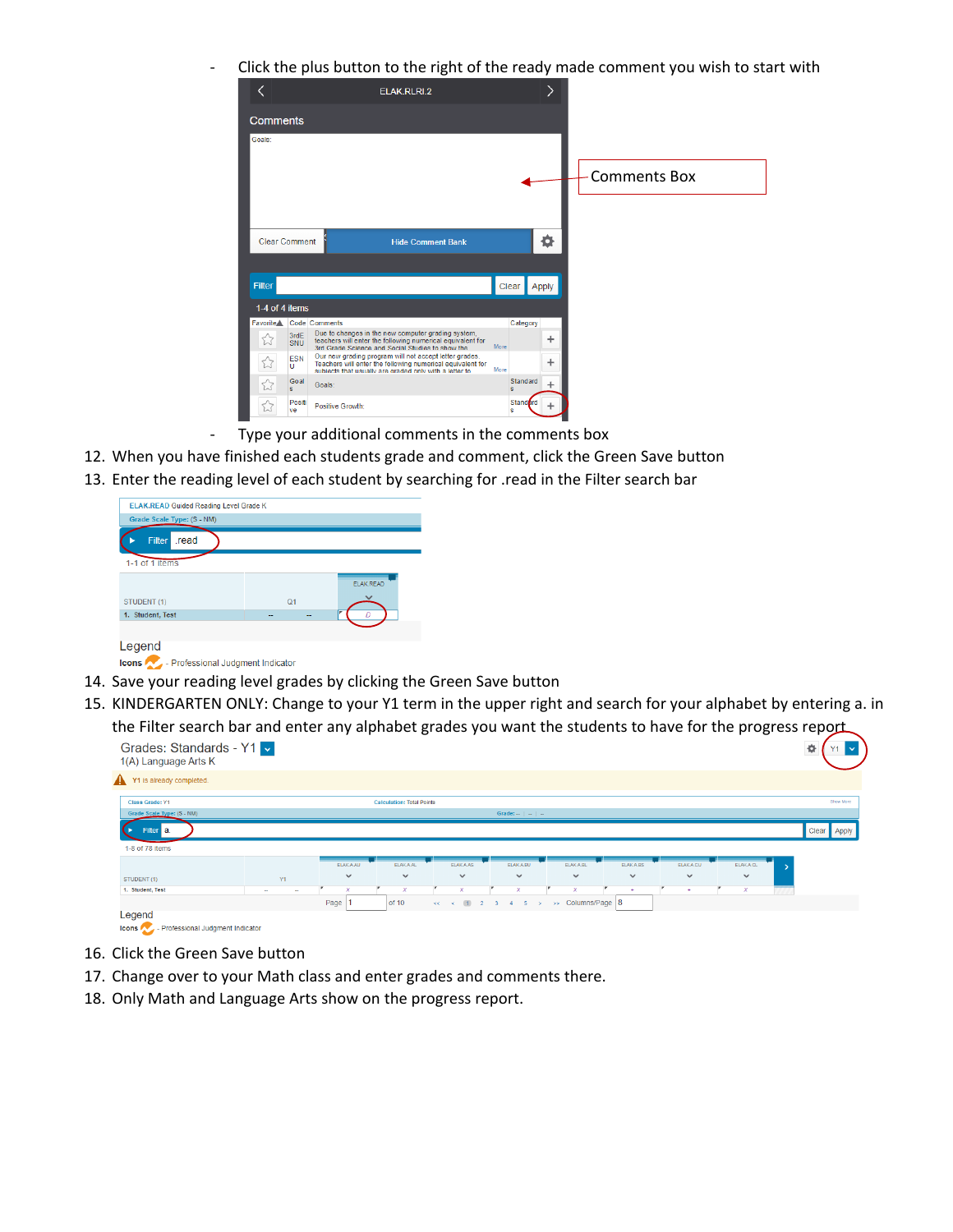Click the plus button to the right of the ready made comment you wish to start with



- Type your additional comments in the comments box
- 12. When you have finished each students grade and comment, click the Green Save button
- 13. Enter the reading level of each student by searching for .read in the Filter search bar

| <b>ELAK.READ Guided Reading Level Grade K</b> |                |                  |
|-----------------------------------------------|----------------|------------------|
| Grade Scale Type: (S - NM)                    |                |                  |
| .read<br><b>Filter</b>                        |                |                  |
| 1-1 of 1 items                                |                |                  |
|                                               |                | <b>ELAK.READ</b> |
| STUDENT (1)                                   | O <sub>1</sub> |                  |
| 1. Student, Test                              | -              |                  |
|                                               |                |                  |
| egend                                         |                |                  |

Icons **Contract Professional Judgment Indicator** 

- 14. Save your reading level grades by clicking the Green Save button
- 15. KINDERGARTEN ONLY: Change to your Y1 term in the upper right and search for your alphabet by entering a. in the Filter search bar and enter any alphabet grades you want the students to have for the progress report

| Grades: Standards - Y1 ~<br>1(A) Language Arts K |                  |                  | ~                                |                           |                           |                           |              |                  | ີ                         | ٥<br>Y1     |
|--------------------------------------------------|------------------|------------------|----------------------------------|---------------------------|---------------------------|---------------------------|--------------|------------------|---------------------------|-------------|
| Y1 is already completed.                         |                  |                  |                                  |                           |                           |                           |              |                  |                           |             |
| Class Grade: Y1                                  |                  |                  | <b>Calculation: Total Points</b> |                           |                           |                           |              |                  |                           | Show More   |
| Grade Scale Type: (S - NM)                       |                  |                  |                                  |                           | Grade: $   -$             |                           |              |                  |                           |             |
| Filter a.                                        |                  |                  |                                  |                           |                           |                           |              |                  |                           | Clear Apply |
| 1-8 of 78 items                                  |                  |                  |                                  |                           |                           |                           |              |                  |                           |             |
|                                                  |                  | <b>ELAK A.AU</b> | <b>ELAKA AL</b>                  | <b>ELAK.A.AS</b>          | ELAK A.BU                 | <b>ELAKA BL</b>           | ELAK.A.BS    | <b>ELAK A.CU</b> | <b>ELAK A.CL</b>          |             |
| STUDENT (1)                                      | Y1               | $\checkmark$     | $\checkmark$                     | $\checkmark$              | $\checkmark$              | $\checkmark$              | $\checkmark$ | $\checkmark$     | $\checkmark$              |             |
| 1. Student, Test                                 | $\sim$<br>$\sim$ | x                | $\boldsymbol{\mathsf{x}}$        | $\boldsymbol{\mathsf{x}}$ | $\boldsymbol{\mathsf{x}}$ | $\boldsymbol{\mathsf{x}}$ |              |                  | $\boldsymbol{\mathsf{x}}$ |             |
|                                                  |                  | Page             | of 10                            | $<<$ $<$ (1) 2 3 4 5      | $\rightarrow$             | >> Columns/Page 8         |              |                  |                           |             |
| Legend                                           |                  |                  |                                  |                           |                           |                           |              |                  |                           |             |
| - Professional Judgment Indicator<br>Icons       |                  |                  |                                  |                           |                           |                           |              |                  |                           |             |

- 16. Click the Green Save button
- 17. Change over to your Math class and enter grades and comments there.
- 18. Only Math and Language Arts show on the progress report.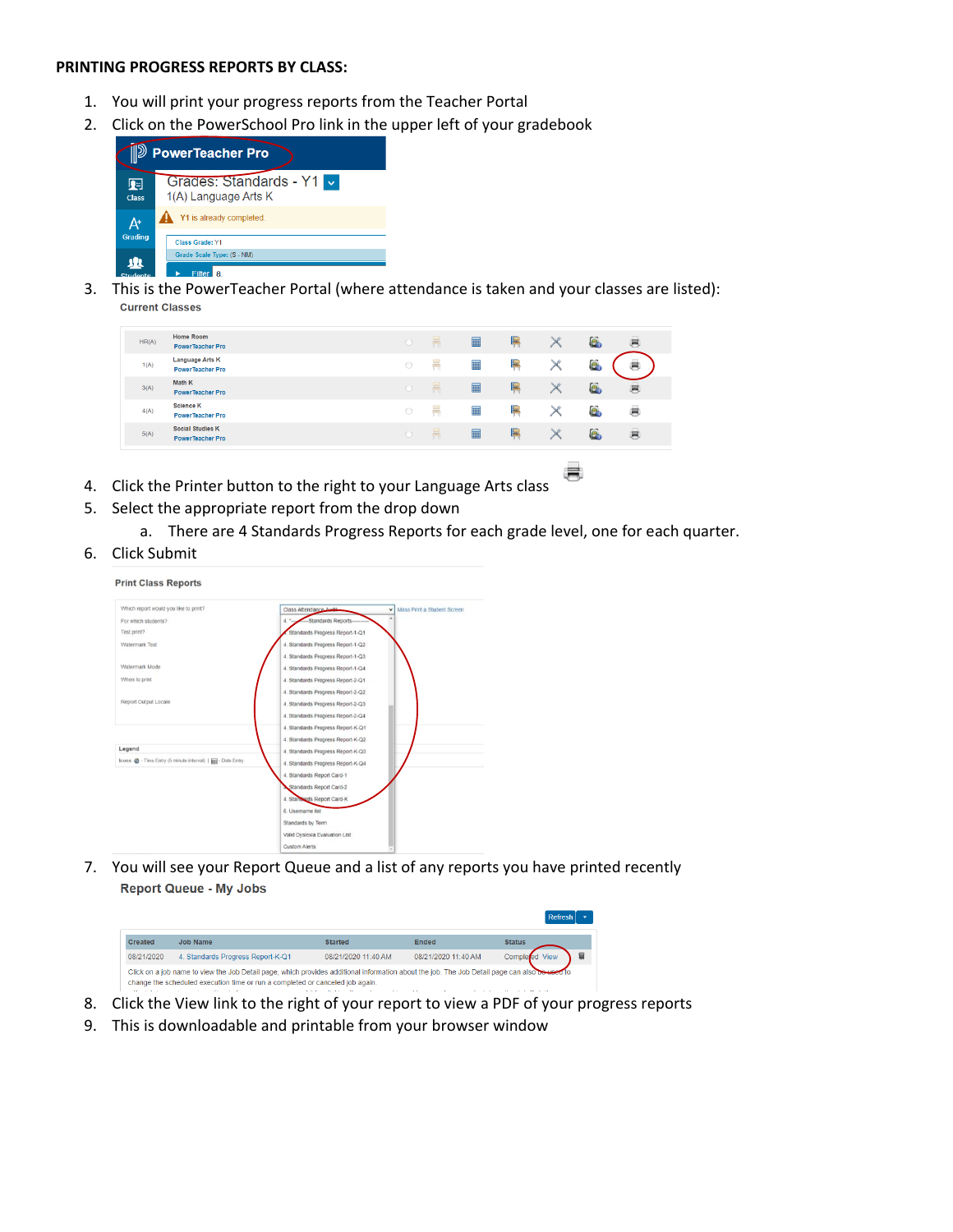#### **PRINTING PROGRESS REPORTS BY CLASS:**

- 1. You will print your progress reports from the Teacher Portal
- 2. Click on the PowerSchool Pro link in the upper left of your gradebook



3. This is the PowerTeacher Portal (where attendance is taken and your classes are listed): **Current Classes** 

| <b>Language Arts K</b><br>E<br>ē.<br>靊<br>$\bigcirc$<br>1(A)<br><b>PowerTeacher Pro</b><br>Math K<br>$\equiv$<br>E<br>暠<br>e.<br>$\blacksquare$<br>3(A)<br>$\bigcap$<br><b>PowerTeacher Pro</b><br><b>Science K</b><br>c<br>e.<br>■<br>$\circ$<br>4(A)<br>晨<br><b>PowerTeacher Pro</b><br><b>Social Studies K</b><br>E<br>e<br>■<br>噕<br>5(A)<br>$\bigcirc$<br>患<br><b>PowerTeacher Pro</b> | HR(A) | Home Room<br><b>PowerTeacher Pro</b> | $\bigcirc$ | 墨 | ■ | E | ē. | 暠 |
|---------------------------------------------------------------------------------------------------------------------------------------------------------------------------------------------------------------------------------------------------------------------------------------------------------------------------------------------------------------------------------------------|-------|--------------------------------------|------------|---|---|---|----|---|
|                                                                                                                                                                                                                                                                                                                                                                                             |       |                                      |            |   |   |   |    |   |
|                                                                                                                                                                                                                                                                                                                                                                                             |       |                                      |            |   |   |   |    |   |
|                                                                                                                                                                                                                                                                                                                                                                                             |       |                                      |            |   |   |   |    |   |
|                                                                                                                                                                                                                                                                                                                                                                                             |       |                                      |            |   |   |   |    |   |

- 4. Click the Printer button to the right to your Language Arts class
- 5. Select the appropriate report from the drop down
	- a. There are 4 Standards Progress Reports for each grade level, one for each quarter.

帚

6. Click Submit



7. You will see your Report Queue and a list of any reports you have printed recently **Report Queue - My Jobs** 



- 8. Click the View link to the right of your report to view a PDF of your progress reports
- 9. This is downloadable and printable from your browser window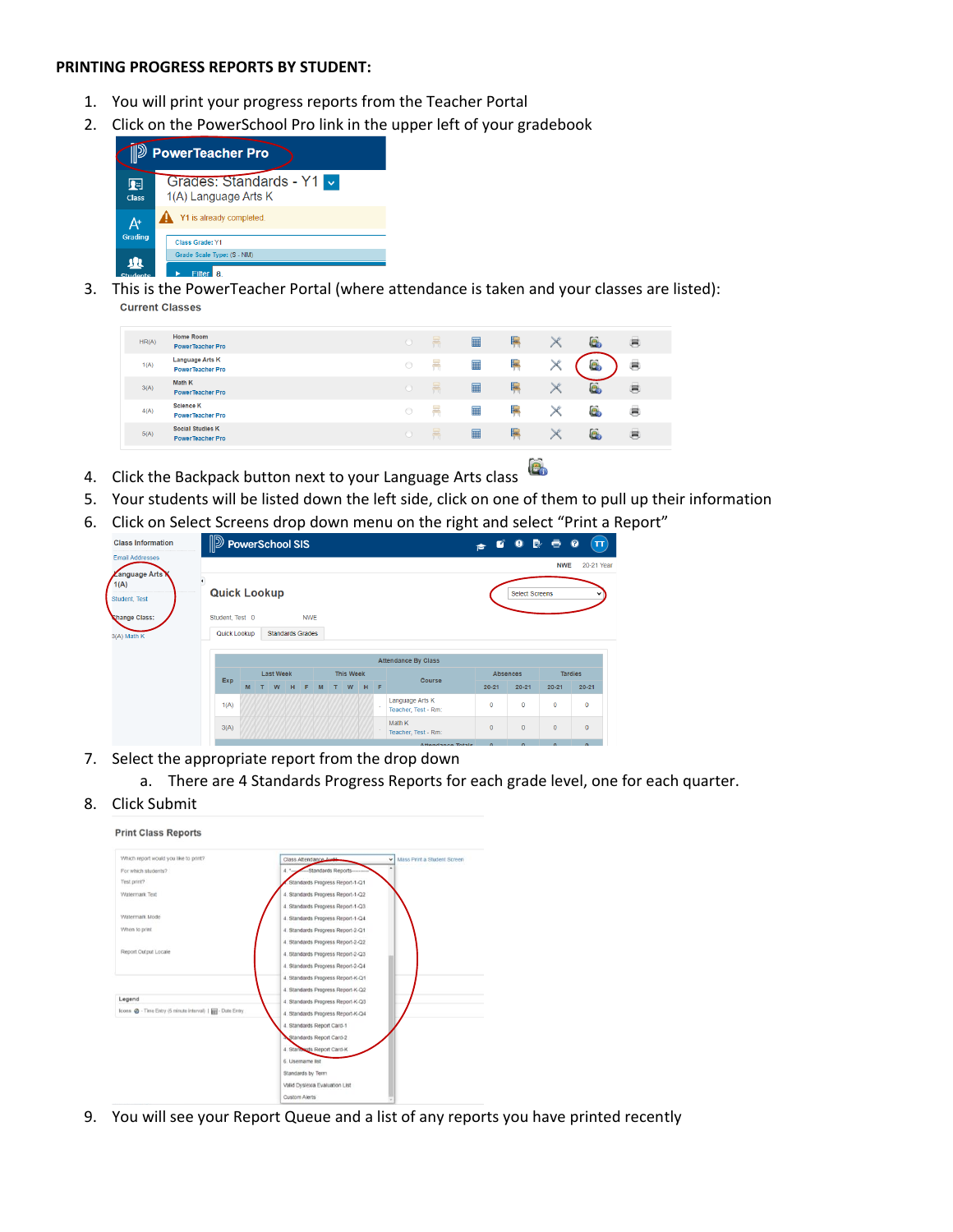#### **PRINTING PROGRESS REPORTS BY STUDENT:**

- 1. You will print your progress reports from the Teacher Portal
- 2. Click on the PowerSchool Pro link in the upper left of your gradebook



3. This is the PowerTeacher Portal (where attendance is taken and your classes are listed): **Current Classes** 

| HR(A) | Home Room<br><b>PowerTeacher Pro</b>               |            | 룜 | ■         | E   | e   | 肩 |
|-------|----------------------------------------------------|------------|---|-----------|-----|-----|---|
| 1(A)  | <b>Language Arts K</b><br><b>PowerTeacher Pro</b>  | $\circ$    |   | ▉         | E   | c   | 暠 |
| 3(A)  | Math K<br><b>PowerTeacher Pro</b>                  | $\bigcirc$ | 묭 | m         | E   | e.  | 忌 |
| 4(A)  | <b>Science K</b><br><b>PowerTeacher Pro</b>        | $\circ$    |   | 臝         | le. | e.  | 患 |
| 5(A)  | <b>Social Studies K</b><br><b>PowerTeacher Pro</b> | $\bigcirc$ | 룜 | $\square$ | E   | ie. | 患 |

- $\mathbf{e}_0$ 4. Click the Backpack button next to your Language Arts class
- 5. Your students will be listed down the left side, click on one of them to pull up their information
- 6. Click on Select Screens drop down menu on the right and select "Print a Report"

| <b>Class Information</b>                             | <b>D</b> PowerSchool SIS |   |                  |  |                  |                         |   |  |   |        |                 |                                        | Ø              | B.<br>$\bullet$       | ē            | $\boldsymbol{\Omega}$<br>$\mathbf{T}$ |
|------------------------------------------------------|--------------------------|---|------------------|--|------------------|-------------------------|---|--|---|--------|-----------------|----------------------------------------|----------------|-----------------------|--------------|---------------------------------------|
| <b>Email Addresses</b>                               |                          |   |                  |  |                  |                         |   |  |   |        |                 |                                        | ъ              |                       |              |                                       |
| <b><i>Language Arts</i></b><br>1(A)<br>Student, Test | <b>Quick Lookup</b>      |   |                  |  |                  |                         |   |  |   |        |                 |                                        |                | <b>Select Screens</b> | <b>NWE</b>   | 20-21 Year                            |
| Change Class:                                        | Student, Test 0          |   |                  |  |                  | <b>NWE</b>              |   |  |   |        |                 |                                        |                |                       |              |                                       |
| 3(A) Math K                                          | Quick Lookup             |   |                  |  |                  | <b>Standards Grades</b> |   |  |   |        |                 |                                        |                |                       |              |                                       |
|                                                      |                          |   |                  |  |                  |                         |   |  |   |        |                 | <b>Attendance By Class</b>             |                |                       |              |                                       |
|                                                      |                          |   | <b>Last Week</b> |  | <b>This Week</b> |                         |   |  |   | Course | <b>Absences</b> |                                        | <b>Tardies</b> |                       |              |                                       |
|                                                      | Exp                      | M | W                |  | н                | F                       | M |  | W | H      | -Æ.             |                                        | $20 - 21$      | $20 - 21$             | $20 - 21$    | $20 - 21$                             |
|                                                      | 1(A)                     |   |                  |  |                  |                         |   |  |   |        |                 | Language Arts K<br>Teacher, Test - Rm: | $\mathbf{O}$   | $\mathbf{0}$          | $\mathbf{0}$ | $\mathbf{0}$                          |
|                                                      | 3(A)                     |   |                  |  |                  |                         |   |  |   |        |                 | Math K<br>Teacher, Test - Rm:          | $\mathbf{0}$   | $\mathbf{0}$          | $\mathbf{0}$ | $\mathbf{0}$                          |
|                                                      |                          |   |                  |  |                  |                         |   |  |   |        |                 | Address states and Washington          | $\sim$         | $\sim$                | $\sim$       | $\sim$                                |

- 7. Select the appropriate report from the drop down
	- a. There are 4 Standards Progress Reports for each grade level, one for each quarter.
- 8. Click Submit

#### **Print Class Reports** Which report would you like to print? Mass Print a Student Screen  $\check{~}$ Class At For which students? dards Rep Test print? dards Progress Report-1-Q1 Watermark Text Standards Progress Report-1-Q2 4. Standards Progress Report-1-Q3 Watermark Mode Standards Progress Report-1-Q4 When to print Standards Progress Report-2-Q1 Standards Progress Report-2-Q2 Report Output Locale Standards Progress Report-2-Q3 Standards Progress Report-2-Q4 Standards Progress Report-K-Q1 Standards Progress Report-K-Q2 Legend Standards Progress Report-K-Q3 Icons  $\bigotimes$  - Time Entry (5 minute interval) |  $\overline{\lim}$  - Date Entry 4. Standards Progress Report-K-Q4 Standards Report Card-1 Standards Report Card-2 Sards Report Card-K 6. Usemame lis Standards by Term **Valid Dyslexia Evaluation List** Custom Alerts

9. You will see your Report Queue and a list of any reports you have printed recently